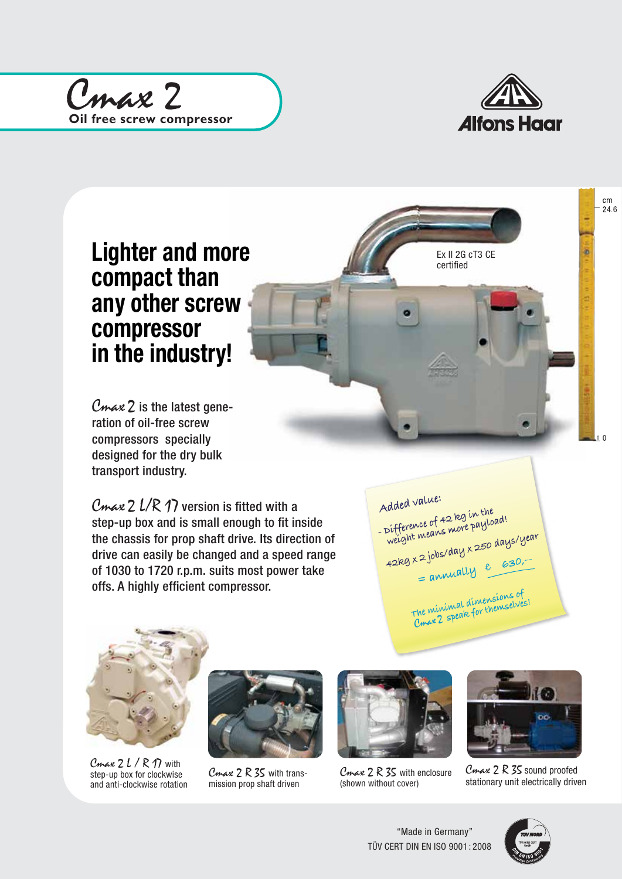



## Lighter and more compact than any other screw compressor in the industry!

 $C$ *max*  $2$  is the latest generation of oil-free screw compressors specially designed for the dry bulk transport industry.

Cmax 2  $L/R$  17 version is fitted with a step-up box and is small enough to fit inside the chassis for prop shaft drive. Its direction of drive can easily be changed and a speed range of 1030 to 1720 r.p.m. suits most power take offs. A highly efficient compressor.

 **Added value: - Difference of 42 kg in the**  *<u><b>Weight means more payload!</u>*</u> weight mem =<br>42kg x 2 jobs/day x 250 days/year  $4289 \times 25$ <br>= annually  $6.630$ ,- **The minimal dimensions of speak for themselves!** The vacancience acrossomes of

Ex II 2G cT3 CE certified



Cmax  $2 l / R 17$  with step-up box for clockwise and anti-clockwise rotation



Cmax 2 R 35 with transmission prop shaft driven



Cmax 2 R 35 with enclosure (shown without cover)



 $C$ *max*  $2R$  35 sound proofed stationary unit electrically driven



 $\mathfrak{c}$ 

 $cm$  $24.6$